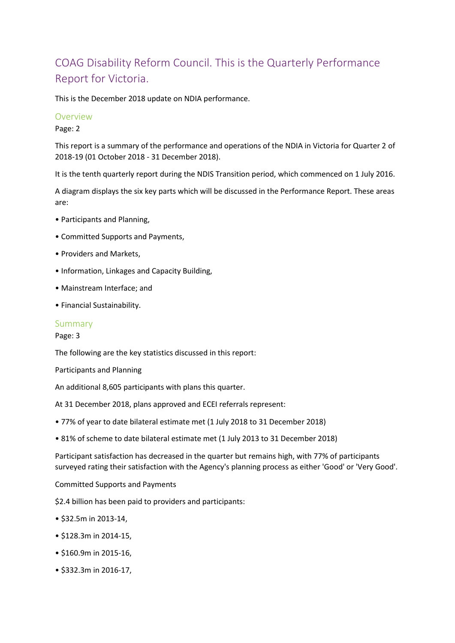# COAG Disability Reform Council. This is the Quarterly Performance Report for Victoria.

This is the December 2018 update on NDIA performance.

# Overview

Page: 2

This report is a summary of the performance and operations of the NDIA in Victoria for Quarter 2 of 2018-19 (01 October 2018 - 31 December 2018).

It is the tenth quarterly report during the NDIS Transition period, which commenced on 1 July 2016.

A diagram displays the six key parts which will be discussed in the Performance Report. These areas are:

- Participants and Planning,
- Committed Supports and Payments,
- Providers and Markets,
- Information, Linkages and Capacity Building,
- Mainstream Interface; and
- Financial Sustainability.

### Summary

Page: 3

The following are the key statistics discussed in this report:

Participants and Planning

An additional 8,605 participants with plans this quarter.

At 31 December 2018, plans approved and ECEI referrals represent:

- 77% of year to date bilateral estimate met (1 July 2018 to 31 December 2018)
- 81% of scheme to date bilateral estimate met (1 July 2013 to 31 December 2018)

Participant satisfaction has decreased in the quarter but remains high, with 77% of participants surveyed rating their satisfaction with the Agency's planning process as either 'Good' or 'Very Good'.

Committed Supports and Payments

\$2.4 billion has been paid to providers and participants:

- \$32.5m in 2013-14,
- \$128.3m in 2014-15,
- \$160.9m in 2015-16,
- \$332.3m in 2016-17,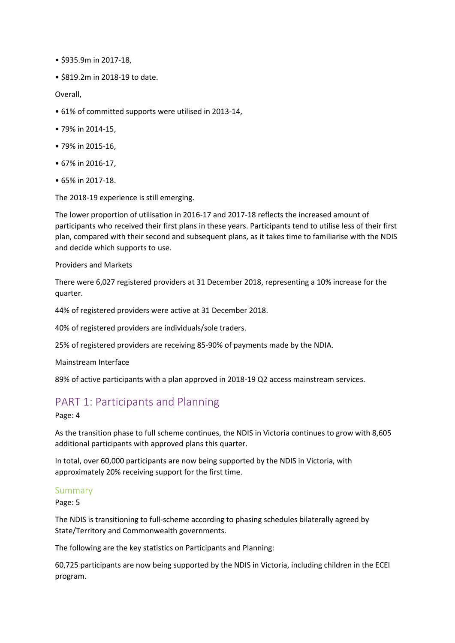- \$935.9m in 2017-18,
- \$819.2m in 2018-19 to date.

Overall,

- 61% of committed supports were utilised in 2013-14,
- 79% in 2014-15,
- 79% in 2015-16,
- 67% in 2016-17,
- 65% in 2017-18.

The 2018-19 experience is still emerging.

The lower proportion of utilisation in 2016-17 and 2017-18 reflects the increased amount of participants who received their first plans in these years. Participants tend to utilise less of their first plan, compared with their second and subsequent plans, as it takes time to familiarise with the NDIS and decide which supports to use.

Providers and Markets

There were 6,027 registered providers at 31 December 2018, representing a 10% increase for the quarter.

44% of registered providers were active at 31 December 2018.

40% of registered providers are individuals/sole traders.

25% of registered providers are receiving 85-90% of payments made by the NDIA.

Mainstream Interface

89% of active participants with a plan approved in 2018-19 Q2 access mainstream services.

# PART 1: Participants and Planning

### Page: 4

As the transition phase to full scheme continues, the NDIS in Victoria continues to grow with 8,605 additional participants with approved plans this quarter.

In total, over 60,000 participants are now being supported by the NDIS in Victoria, with approximately 20% receiving support for the first time.

# Summary

Page: 5

The NDIS is transitioning to full-scheme according to phasing schedules bilaterally agreed by State/Territory and Commonwealth governments.

The following are the key statistics on Participants and Planning:

60,725 participants are now being supported by the NDIS in Victoria, including children in the ECEI program.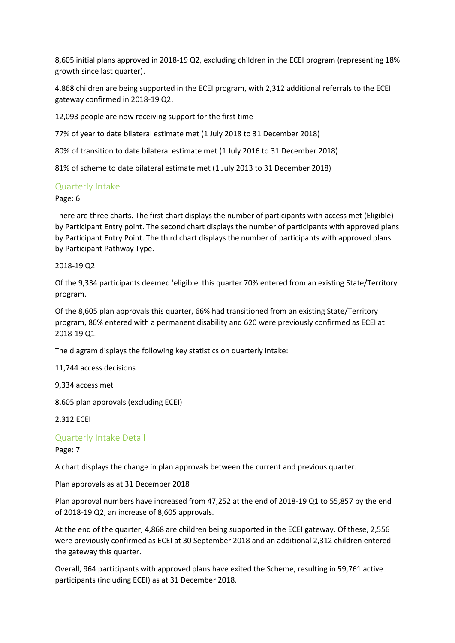8,605 initial plans approved in 2018-19 Q2, excluding children in the ECEI program (representing 18% growth since last quarter).

4,868 children are being supported in the ECEI program, with 2,312 additional referrals to the ECEI gateway confirmed in 2018-19 Q2.

12,093 people are now receiving support for the first time

77% of year to date bilateral estimate met (1 July 2018 to 31 December 2018)

80% of transition to date bilateral estimate met (1 July 2016 to 31 December 2018)

81% of scheme to date bilateral estimate met (1 July 2013 to 31 December 2018)

# Quarterly Intake

Page: 6

There are three charts. The first chart displays the number of participants with access met (Eligible) by Participant Entry point. The second chart displays the number of participants with approved plans by Participant Entry Point. The third chart displays the number of participants with approved plans by Participant Pathway Type.

### 2018-19 Q2

Of the 9,334 participants deemed 'eligible' this quarter 70% entered from an existing State/Territory program.

Of the 8,605 plan approvals this quarter, 66% had transitioned from an existing State/Territory program, 86% entered with a permanent disability and 620 were previously confirmed as ECEI at 2018-19 Q1.

The diagram displays the following key statistics on quarterly intake:

11,744 access decisions

9,334 access met

8,605 plan approvals (excluding ECEI)

2,312 ECEI

# Quarterly Intake Detail

Page: 7

A chart displays the change in plan approvals between the current and previous quarter.

Plan approvals as at 31 December 2018

Plan approval numbers have increased from 47,252 at the end of 2018-19 Q1 to 55,857 by the end of 2018-19 Q2, an increase of 8,605 approvals.

At the end of the quarter, 4,868 are children being supported in the ECEI gateway. Of these, 2,556 were previously confirmed as ECEI at 30 September 2018 and an additional 2,312 children entered the gateway this quarter.

Overall, 964 participants with approved plans have exited the Scheme, resulting in 59,761 active participants (including ECEI) as at 31 December 2018.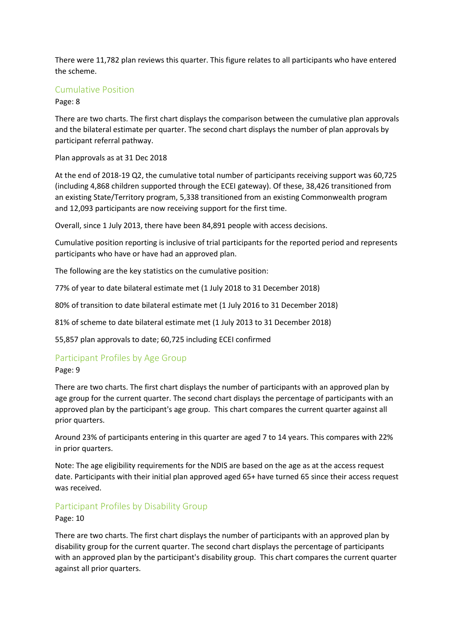There were 11,782 plan reviews this quarter. This figure relates to all participants who have entered the scheme.

# Cumulative Position

Page: 8

There are two charts. The first chart displays the comparison between the cumulative plan approvals and the bilateral estimate per quarter. The second chart displays the number of plan approvals by participant referral pathway.

Plan approvals as at 31 Dec 2018

At the end of 2018-19 Q2, the cumulative total number of participants receiving support was 60,725 (including 4,868 children supported through the ECEI gateway). Of these, 38,426 transitioned from an existing State/Territory program, 5,338 transitioned from an existing Commonwealth program and 12,093 participants are now receiving support for the first time.

Overall, since 1 July 2013, there have been 84,891 people with access decisions.

Cumulative position reporting is inclusive of trial participants for the reported period and represents participants who have or have had an approved plan.

The following are the key statistics on the cumulative position:

77% of year to date bilateral estimate met (1 July 2018 to 31 December 2018)

80% of transition to date bilateral estimate met (1 July 2016 to 31 December 2018)

81% of scheme to date bilateral estimate met (1 July 2013 to 31 December 2018)

55,857 plan approvals to date; 60,725 including ECEI confirmed

# Participant Profiles by Age Group

Page: 9

There are two charts. The first chart displays the number of participants with an approved plan by age group for the current quarter. The second chart displays the percentage of participants with an approved plan by the participant's age group. This chart compares the current quarter against all prior quarters.

Around 23% of participants entering in this quarter are aged 7 to 14 years. This compares with 22% in prior quarters.

Note: The age eligibility requirements for the NDIS are based on the age as at the access request date. Participants with their initial plan approved aged 65+ have turned 65 since their access request was received.

# Participant Profiles by Disability Group

Page: 10

There are two charts. The first chart displays the number of participants with an approved plan by disability group for the current quarter. The second chart displays the percentage of participants with an approved plan by the participant's disability group. This chart compares the current quarter against all prior quarters.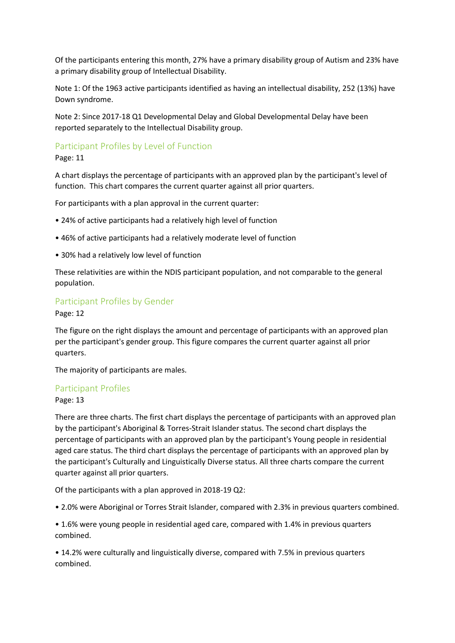Of the participants entering this month, 27% have a primary disability group of Autism and 23% have a primary disability group of Intellectual Disability.

Note 1: Of the 1963 active participants identified as having an intellectual disability, 252 (13%) have Down syndrome.

Note 2: Since 2017-18 Q1 Developmental Delay and Global Developmental Delay have been reported separately to the Intellectual Disability group.

# Participant Profiles by Level of Function

Page: 11

A chart displays the percentage of participants with an approved plan by the participant's level of function. This chart compares the current quarter against all prior quarters.

For participants with a plan approval in the current quarter:

- 24% of active participants had a relatively high level of function
- 46% of active participants had a relatively moderate level of function
- 30% had a relatively low level of function

These relativities are within the NDIS participant population, and not comparable to the general population.

# Participant Profiles by Gender

Page: 12

The figure on the right displays the amount and percentage of participants with an approved plan per the participant's gender group. This figure compares the current quarter against all prior quarters.

The majority of participants are males.

### Participant Profiles

Page: 13

There are three charts. The first chart displays the percentage of participants with an approved plan by the participant's Aboriginal & Torres-Strait Islander status. The second chart displays the percentage of participants with an approved plan by the participant's Young people in residential aged care status. The third chart displays the percentage of participants with an approved plan by the participant's Culturally and Linguistically Diverse status. All three charts compare the current quarter against all prior quarters.

Of the participants with a plan approved in 2018-19 Q2:

• 2.0% were Aboriginal or Torres Strait Islander, compared with 2.3% in previous quarters combined.

• 1.6% were young people in residential aged care, compared with 1.4% in previous quarters combined.

• 14.2% were culturally and linguistically diverse, compared with 7.5% in previous quarters combined.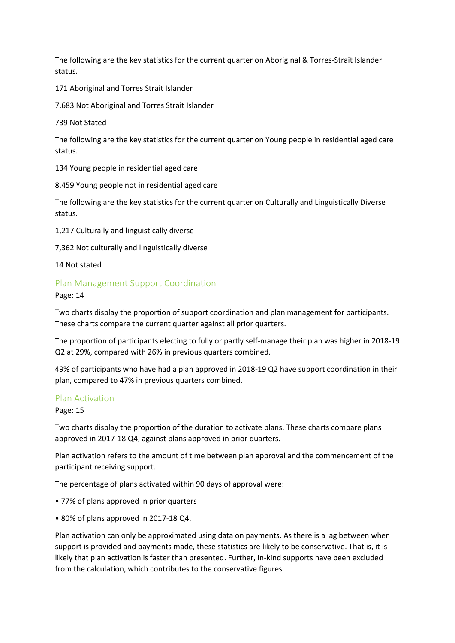The following are the key statistics for the current quarter on Aboriginal & Torres-Strait Islander status.

171 Aboriginal and Torres Strait Islander

7,683 Not Aboriginal and Torres Strait Islander

739 Not Stated

The following are the key statistics for the current quarter on Young people in residential aged care status.

134 Young people in residential aged care

8,459 Young people not in residential aged care

The following are the key statistics for the current quarter on Culturally and Linguistically Diverse status.

1,217 Culturally and linguistically diverse

7,362 Not culturally and linguistically diverse

14 Not stated

### Plan Management Support Coordination

Page: 14

Two charts display the proportion of support coordination and plan management for participants. These charts compare the current quarter against all prior quarters.

The proportion of participants electing to fully or partly self-manage their plan was higher in 2018-19 Q2 at 29%, compared with 26% in previous quarters combined.

49% of participants who have had a plan approved in 2018-19 Q2 have support coordination in their plan, compared to 47% in previous quarters combined.

### Plan Activation

Page: 15

Two charts display the proportion of the duration to activate plans. These charts compare plans approved in 2017-18 Q4, against plans approved in prior quarters.

Plan activation refers to the amount of time between plan approval and the commencement of the participant receiving support.

The percentage of plans activated within 90 days of approval were:

- 77% of plans approved in prior quarters
- 80% of plans approved in 2017-18 Q4.

Plan activation can only be approximated using data on payments. As there is a lag between when support is provided and payments made, these statistics are likely to be conservative. That is, it is likely that plan activation is faster than presented. Further, in-kind supports have been excluded from the calculation, which contributes to the conservative figures.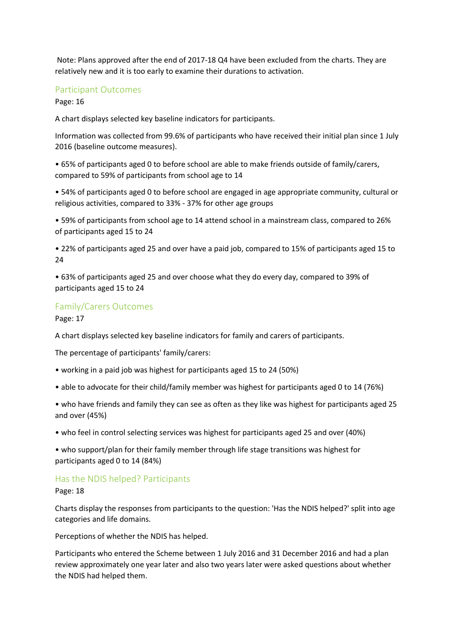Note: Plans approved after the end of 2017-18 Q4 have been excluded from the charts. They are relatively new and it is too early to examine their durations to activation.

# Participant Outcomes

Page: 16

A chart displays selected key baseline indicators for participants.

Information was collected from 99.6% of participants who have received their initial plan since 1 July 2016 (baseline outcome measures).

• 65% of participants aged 0 to before school are able to make friends outside of family/carers, compared to 59% of participants from school age to 14

• 54% of participants aged 0 to before school are engaged in age appropriate community, cultural or religious activities, compared to 33% - 37% for other age groups

• 59% of participants from school age to 14 attend school in a mainstream class, compared to 26% of participants aged 15 to 24

• 22% of participants aged 25 and over have a paid job, compared to 15% of participants aged 15 to 24

• 63% of participants aged 25 and over choose what they do every day, compared to 39% of participants aged 15 to 24

# Family/Carers Outcomes

Page: 17

A chart displays selected key baseline indicators for family and carers of participants.

The percentage of participants' family/carers:

- working in a paid job was highest for participants aged 15 to 24 (50%)
- able to advocate for their child/family member was highest for participants aged 0 to 14 (76%)

• who have friends and family they can see as often as they like was highest for participants aged 25 and over (45%)

• who feel in control selecting services was highest for participants aged 25 and over (40%)

• who support/plan for their family member through life stage transitions was highest for participants aged 0 to 14 (84%)

# Has the NDIS helped? Participants

Page: 18

Charts display the responses from participants to the question: 'Has the NDIS helped?' split into age categories and life domains.

Perceptions of whether the NDIS has helped.

Participants who entered the Scheme between 1 July 2016 and 31 December 2016 and had a plan review approximately one year later and also two years later were asked questions about whether the NDIS had helped them.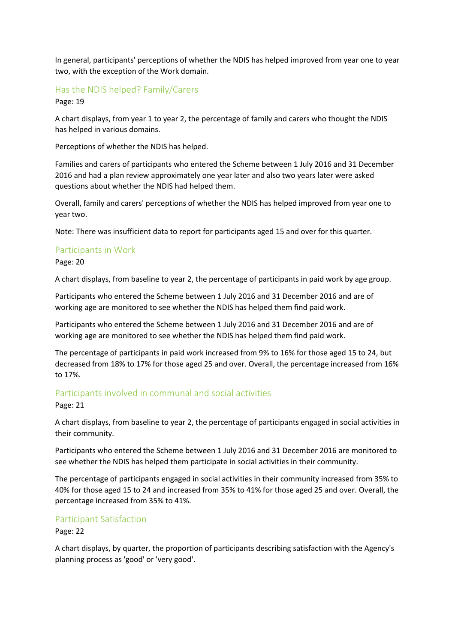In general, participants' perceptions of whether the NDIS has helped improved from year one to year two, with the exception of the Work domain.

# Has the NDIS helped? Family/Carers

Page: 19

A chart displays, from year 1 to year 2, the percentage of family and carers who thought the NDIS has helped in various domains.

Perceptions of whether the NDIS has helped.

Families and carers of participants who entered the Scheme between 1 July 2016 and 31 December 2016 and had a plan review approximately one year later and also two years later were asked questions about whether the NDIS had helped them.

Overall, family and carers' perceptions of whether the NDIS has helped improved from year one to year two.

Note: There was insufficient data to report for participants aged 15 and over for this quarter.

# Participants in Work

Page: 20

A chart displays, from baseline to year 2, the percentage of participants in paid work by age group.

Participants who entered the Scheme between 1 July 2016 and 31 December 2016 and are of working age are monitored to see whether the NDIS has helped them find paid work.

Participants who entered the Scheme between 1 July 2016 and 31 December 2016 and are of working age are monitored to see whether the NDIS has helped them find paid work.

The percentage of participants in paid work increased from 9% to 16% for those aged 15 to 24, but decreased from 18% to 17% for those aged 25 and over. Overall, the percentage increased from 16% to 17%.

# Participants involved in communal and social activities

Page: 21

A chart displays, from baseline to year 2, the percentage of participants engaged in social activities in their community.

Participants who entered the Scheme between 1 July 2016 and 31 December 2016 are monitored to see whether the NDIS has helped them participate in social activities in their community.

The percentage of participants engaged in social activities in their community increased from 35% to 40% for those aged 15 to 24 and increased from 35% to 41% for those aged 25 and over. Overall, the percentage increased from 35% to 41%.

# Participant Satisfaction

Page: 22

A chart displays, by quarter, the proportion of participants describing satisfaction with the Agency's planning process as 'good' or 'very good'.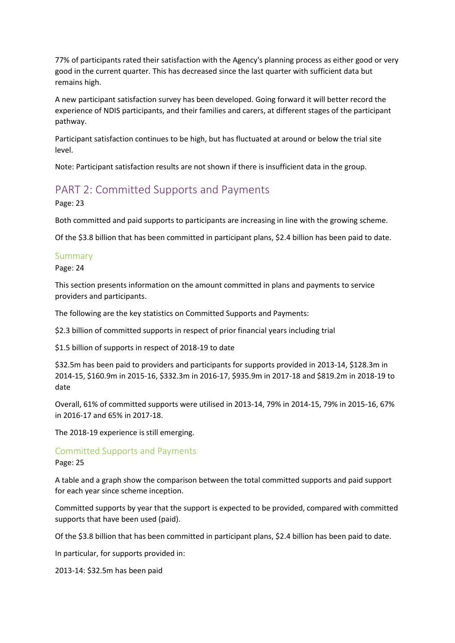77% of participants rated their satisfaction with the Agency's planning process as either good or very good in the current quarter. This has decreased since the last quarter with sufficient data but remains high.

A new participant satisfaction survey has been developed. Going forward it will better record the experience of NDIS participants, and their families and carers, at different stages of the participant pathway.

Participant satisfaction continues to be high, but has fluctuated at around or below the trial site level.

Note: Participant satisfaction results are not shown if there is insufficient data in the group.

# PART 2: Committed Supports and Payments

Page: 23

Both committed and paid supports to participants are increasing in line with the growing scheme.

Of the \$3.8 billion that has been committed in participant plans, \$2.4 billion has been paid to date.

# Summary

Page: 24

This section presents information on the amount committed in plans and payments to service providers and participants.

The following are the key statistics on Committed Supports and Payments:

\$2.3 billion of committed supports in respect of prior financial years including trial

\$1.5 billion of supports in respect of 2018-19 to date

\$32.5m has been paid to providers and participants for supports provided in 2013-14, \$128.3m in 2014-15, \$160.9m in 2015-16, \$332.3m in 2016-17, \$935.9m in 2017-18 and \$819.2m in 2018-19 to date

Overall, 61% of committed supports were utilised in 2013-14, 79% in 2014-15, 79% in 2015-16, 67% in 2016-17 and 65% in 2017-18.

The 2018-19 experience is still emerging.

# Committed Supports and Payments

Page: 25

A table and a graph show the comparison between the total committed supports and paid support for each year since scheme inception.

Committed supports by year that the support is expected to be provided, compared with committed supports that have been used (paid).

Of the \$3.8 billion that has been committed in participant plans, \$2.4 billion has been paid to date.

In particular, for supports provided in:

2013-14: \$32.5m has been paid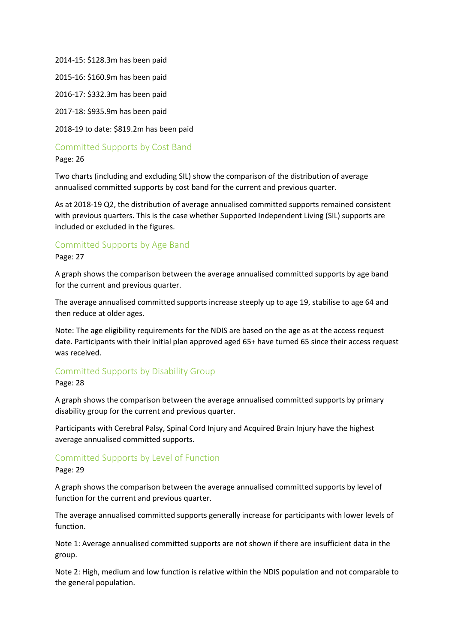2014-15: \$128.3m has been paid

2015-16: \$160.9m has been paid

2016-17: \$332.3m has been paid

2017-18: \$935.9m has been paid

2018-19 to date: \$819.2m has been paid

# Committed Supports by Cost Band

Page: 26

Two charts (including and excluding SIL) show the comparison of the distribution of average annualised committed supports by cost band for the current and previous quarter.

As at 2018-19 Q2, the distribution of average annualised committed supports remained consistent with previous quarters. This is the case whether Supported Independent Living (SIL) supports are included or excluded in the figures.

# Committed Supports by Age Band

### Page: 27

A graph shows the comparison between the average annualised committed supports by age band for the current and previous quarter.

The average annualised committed supports increase steeply up to age 19, stabilise to age 64 and then reduce at older ages.

Note: The age eligibility requirements for the NDIS are based on the age as at the access request date. Participants with their initial plan approved aged 65+ have turned 65 since their access request was received.

# Committed Supports by Disability Group

Page: 28

A graph shows the comparison between the average annualised committed supports by primary disability group for the current and previous quarter.

Participants with Cerebral Palsy, Spinal Cord Injury and Acquired Brain Injury have the highest average annualised committed supports.

# Committed Supports by Level of Function

### Page: 29

A graph shows the comparison between the average annualised committed supports by level of function for the current and previous quarter.

The average annualised committed supports generally increase for participants with lower levels of function.

Note 1: Average annualised committed supports are not shown if there are insufficient data in the group.

Note 2: High, medium and low function is relative within the NDIS population and not comparable to the general population.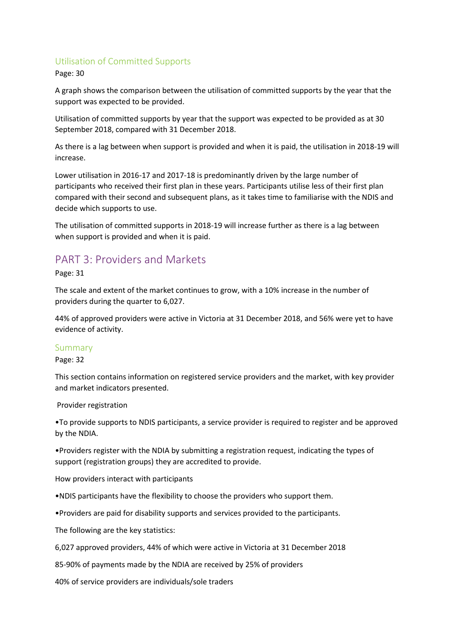# Utilisation of Committed Supports

Page: 30

A graph shows the comparison between the utilisation of committed supports by the year that the support was expected to be provided.

Utilisation of committed supports by year that the support was expected to be provided as at 30 September 2018, compared with 31 December 2018.

As there is a lag between when support is provided and when it is paid, the utilisation in 2018-19 will increase.

Lower utilisation in 2016-17 and 2017-18 is predominantly driven by the large number of participants who received their first plan in these years. Participants utilise less of their first plan compared with their second and subsequent plans, as it takes time to familiarise with the NDIS and decide which supports to use.

The utilisation of committed supports in 2018-19 will increase further as there is a lag between when support is provided and when it is paid.

# PART 3: Providers and Markets

Page: 31

The scale and extent of the market continues to grow, with a 10% increase in the number of providers during the quarter to 6,027.

44% of approved providers were active in Victoria at 31 December 2018, and 56% were yet to have evidence of activity.

# Summary

### Page: 32

This section contains information on registered service providers and the market, with key provider and market indicators presented.

### Provider registration

•To provide supports to NDIS participants, a service provider is required to register and be approved by the NDIA.

•Providers register with the NDIA by submitting a registration request, indicating the types of support (registration groups) they are accredited to provide.

How providers interact with participants

•NDIS participants have the flexibility to choose the providers who support them.

•Providers are paid for disability supports and services provided to the participants.

The following are the key statistics:

6,027 approved providers, 44% of which were active in Victoria at 31 December 2018

85-90% of payments made by the NDIA are received by 25% of providers

40% of service providers are individuals/sole traders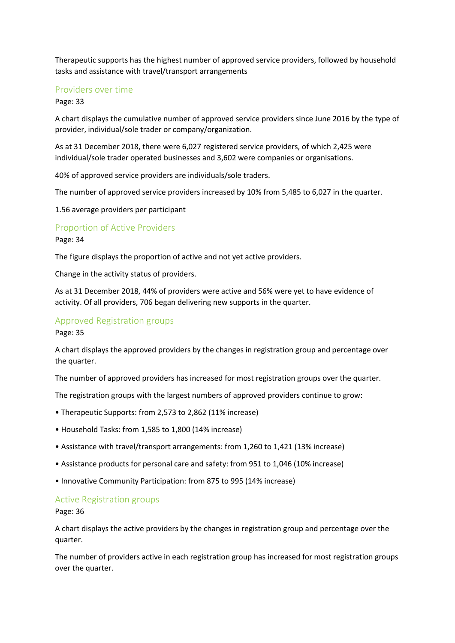Therapeutic supports has the highest number of approved service providers, followed by household tasks and assistance with travel/transport arrangements

### Providers over time

Page: 33

A chart displays the cumulative number of approved service providers since June 2016 by the type of provider, individual/sole trader or company/organization.

As at 31 December 2018, there were 6,027 registered service providers, of which 2,425 were individual/sole trader operated businesses and 3,602 were companies or organisations.

40% of approved service providers are individuals/sole traders.

The number of approved service providers increased by 10% from 5,485 to 6,027 in the quarter.

1.56 average providers per participant

### Proportion of Active Providers

#### Page: 34

The figure displays the proportion of active and not yet active providers.

Change in the activity status of providers.

As at 31 December 2018, 44% of providers were active and 56% were yet to have evidence of activity. Of all providers, 706 began delivering new supports in the quarter.

### Approved Registration groups

Page: 35

A chart displays the approved providers by the changes in registration group and percentage over the quarter.

The number of approved providers has increased for most registration groups over the quarter.

The registration groups with the largest numbers of approved providers continue to grow:

- Therapeutic Supports: from 2,573 to 2,862 (11% increase)
- Household Tasks: from 1,585 to 1,800 (14% increase)
- Assistance with travel/transport arrangements: from 1,260 to 1,421 (13% increase)
- Assistance products for personal care and safety: from 951 to 1,046 (10% increase)
- Innovative Community Participation: from 875 to 995 (14% increase)

### Active Registration groups

Page: 36

A chart displays the active providers by the changes in registration group and percentage over the quarter.

The number of providers active in each registration group has increased for most registration groups over the quarter.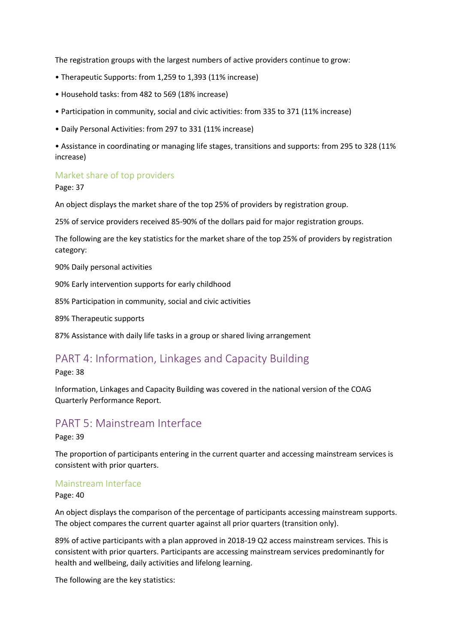The registration groups with the largest numbers of active providers continue to grow:

- Therapeutic Supports: from 1,259 to 1,393 (11% increase)
- Household tasks: from 482 to 569 (18% increase)
- Participation in community, social and civic activities: from 335 to 371 (11% increase)
- Daily Personal Activities: from 297 to 331 (11% increase)

• Assistance in coordinating or managing life stages, transitions and supports: from 295 to 328 (11% increase)

# Market share of top providers

Page: 37

An object displays the market share of the top 25% of providers by registration group.

25% of service providers received 85-90% of the dollars paid for major registration groups.

The following are the key statistics for the market share of the top 25% of providers by registration category:

90% Daily personal activities

90% Early intervention supports for early childhood

85% Participation in community, social and civic activities

89% Therapeutic supports

87% Assistance with daily life tasks in a group or shared living arrangement

# PART 4: Information, Linkages and Capacity Building

Page: 38

Information, Linkages and Capacity Building was covered in the national version of the COAG Quarterly Performance Report.

# PART 5: Mainstream Interface

Page: 39

The proportion of participants entering in the current quarter and accessing mainstream services is consistent with prior quarters.

### Mainstream Interface

Page: 40

An object displays the comparison of the percentage of participants accessing mainstream supports. The object compares the current quarter against all prior quarters (transition only).

89% of active participants with a plan approved in 2018-19 Q2 access mainstream services. This is consistent with prior quarters. Participants are accessing mainstream services predominantly for health and wellbeing, daily activities and lifelong learning.

The following are the key statistics: